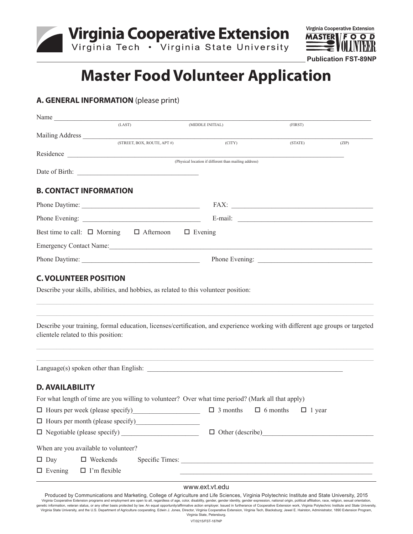



# **Master Food Volunteer Application**

# **A. GENERAL INFORMATION** (please print)

| Name                                                                                 |                            |                                                                                                                                                                                                                                |                                                                                                                                                                                                                                |       |
|--------------------------------------------------------------------------------------|----------------------------|--------------------------------------------------------------------------------------------------------------------------------------------------------------------------------------------------------------------------------|--------------------------------------------------------------------------------------------------------------------------------------------------------------------------------------------------------------------------------|-------|
|                                                                                      | (LAST)                     | (MIDDLE INITIAL)                                                                                                                                                                                                               | (FIRST)                                                                                                                                                                                                                        |       |
|                                                                                      | (STREET, BOX, ROUTE, APT#) | (CITY)                                                                                                                                                                                                                         | (STATE)                                                                                                                                                                                                                        | (ZIP) |
|                                                                                      |                            |                                                                                                                                                                                                                                |                                                                                                                                                                                                                                |       |
|                                                                                      |                            | (Physical location if different than mailing address)                                                                                                                                                                          |                                                                                                                                                                                                                                |       |
|                                                                                      |                            |                                                                                                                                                                                                                                |                                                                                                                                                                                                                                |       |
| <b>B. CONTACT INFORMATION</b>                                                        |                            |                                                                                                                                                                                                                                |                                                                                                                                                                                                                                |       |
|                                                                                      |                            |                                                                                                                                                                                                                                | FAX: New York Street, and the Street Street Street Street Street Street Street Street Street Street Street Street Street Street Street Street Street Street Street Street Street Street Street Street Street Street Street Str |       |
|                                                                                      |                            |                                                                                                                                                                                                                                | E-mail: $\qquad \qquad$                                                                                                                                                                                                        |       |
| Best time to call: $\Box$ Morning $\Box$ Afternoon                                   |                            | $\Box$ Evening                                                                                                                                                                                                                 |                                                                                                                                                                                                                                |       |
|                                                                                      |                            | Emergency Contact Name: 1988. [19] Maria Contact Name: 1988. [19] Maria Contact Name: 1988. [19] Maria Contact Name: 1988. [19] Maria Contact Name: 1988. [19] Maria Contact Name: 1988. [19] Maria Contact Name: 1989. [19] M |                                                                                                                                                                                                                                |       |
|                                                                                      |                            |                                                                                                                                                                                                                                |                                                                                                                                                                                                                                |       |
|                                                                                      |                            |                                                                                                                                                                                                                                |                                                                                                                                                                                                                                |       |
| <b>C. VOLUNTEER POSITION</b>                                                         |                            |                                                                                                                                                                                                                                |                                                                                                                                                                                                                                |       |
| Describe your skills, abilities, and hobbies, as related to this volunteer position: |                            |                                                                                                                                                                                                                                |                                                                                                                                                                                                                                |       |
|                                                                                      |                            |                                                                                                                                                                                                                                |                                                                                                                                                                                                                                |       |
|                                                                                      |                            |                                                                                                                                                                                                                                |                                                                                                                                                                                                                                |       |
|                                                                                      |                            | Describe your training, formal education, licenses/certification, and experience working with different age groups or targeted                                                                                                 |                                                                                                                                                                                                                                |       |
| clientele related to this position:                                                  |                            |                                                                                                                                                                                                                                |                                                                                                                                                                                                                                |       |
|                                                                                      |                            |                                                                                                                                                                                                                                |                                                                                                                                                                                                                                |       |
|                                                                                      |                            |                                                                                                                                                                                                                                |                                                                                                                                                                                                                                |       |
|                                                                                      |                            |                                                                                                                                                                                                                                |                                                                                                                                                                                                                                |       |
| <b>D. AVAILABILITY</b>                                                               |                            |                                                                                                                                                                                                                                |                                                                                                                                                                                                                                |       |
|                                                                                      |                            | For what length of time are you willing to volunteer? Over what time period? (Mark all that apply)                                                                                                                             |                                                                                                                                                                                                                                |       |
| □ Hours per week (please specify)                                                    |                            | $\Box$ 3 months                                                                                                                                                                                                                | $\Box$ 6 months<br>$\Box$ 1 year                                                                                                                                                                                               |       |
| □ Hours per month (please specify)                                                   |                            |                                                                                                                                                                                                                                |                                                                                                                                                                                                                                |       |
|                                                                                      |                            |                                                                                                                                                                                                                                | $\Box$ Other (describe)                                                                                                                                                                                                        |       |
| When are you available to volunteer?                                                 |                            |                                                                                                                                                                                                                                |                                                                                                                                                                                                                                |       |
| $\square$ Day<br>$\square$ Weekends                                                  |                            | Specific Times:                                                                                                                                                                                                                |                                                                                                                                                                                                                                |       |
| $\Box$ Evening<br>$\Box$ I'm flexible                                                |                            |                                                                                                                                                                                                                                |                                                                                                                                                                                                                                |       |

www.ext.vt.edu

Produced by Communications and Marketing, College of Agriculture and Life Sciences, Virginia Polytechnic Institute and State University, 2015 Virginia Cooperative Extension programs and employment are open to all, regardless of age, color, disability, gender, gender identity, gender expression, national origin, political affiliation, race, religion, sexual orien Virginia State University, and the U.S. Department of Agriculture cooperating. Edwin J. Jones, Director, Virginia Cooperative Extension, Virginia Tech, Blacksburg; Jewel E. Hairston, Administrator, 1890 Extension Program, Virginia State, Petersburg. VT/0215/FST-187NP